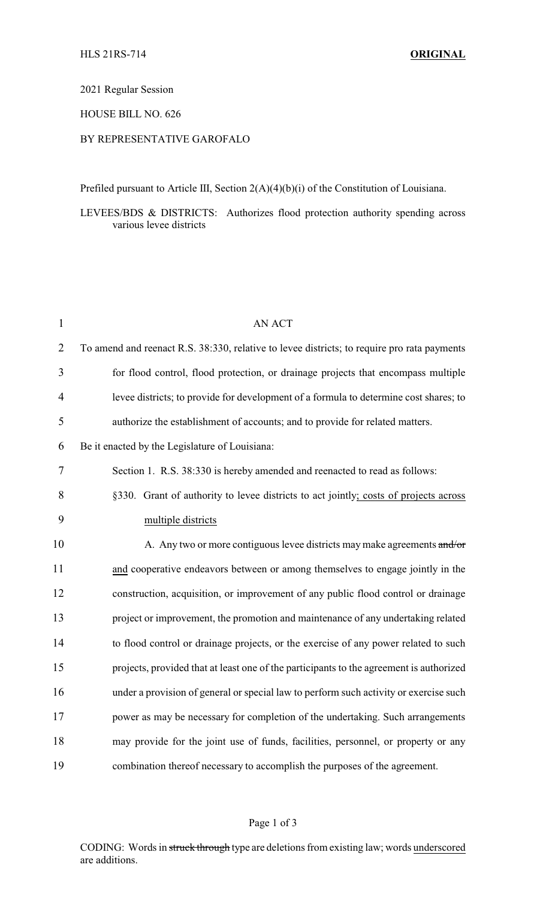2021 Regular Session

HOUSE BILL NO. 626

## BY REPRESENTATIVE GAROFALO

Prefiled pursuant to Article III, Section 2(A)(4)(b)(i) of the Constitution of Louisiana.

LEVEES/BDS & DISTRICTS: Authorizes flood protection authority spending across various levee districts

| $\mathbf{1}$   | <b>AN ACT</b>                                                                               |
|----------------|---------------------------------------------------------------------------------------------|
| $\overline{2}$ | To amend and reenact R.S. 38:330, relative to levee districts; to require pro rata payments |
| 3              | for flood control, flood protection, or drainage projects that encompass multiple           |
| 4              | levee districts; to provide for development of a formula to determine cost shares; to       |
| 5              | authorize the establishment of accounts; and to provide for related matters.                |
| 6              | Be it enacted by the Legislature of Louisiana:                                              |
| 7              | Section 1. R.S. 38:330 is hereby amended and reenacted to read as follows:                  |
| 8              | §330. Grant of authority to levee districts to act jointly; costs of projects across        |
| 9              | multiple districts                                                                          |
| 10             | A. Any two or more contiguous levee districts may make agreements and/or                    |
| 11             | and cooperative endeavors between or among themselves to engage jointly in the              |
| 12             | construction, acquisition, or improvement of any public flood control or drainage           |
| 13             | project or improvement, the promotion and maintenance of any undertaking related            |
| 14             | to flood control or drainage projects, or the exercise of any power related to such         |
| 15             | projects, provided that at least one of the participants to the agreement is authorized     |
| 16             | under a provision of general or special law to perform such activity or exercise such       |
| 17             | power as may be necessary for completion of the undertaking. Such arrangements              |
| 18             | may provide for the joint use of funds, facilities, personnel, or property or any           |
| 19             | combination thereof necessary to accomplish the purposes of the agreement.                  |

## Page 1 of 3

CODING: Words in struck through type are deletions from existing law; words underscored are additions.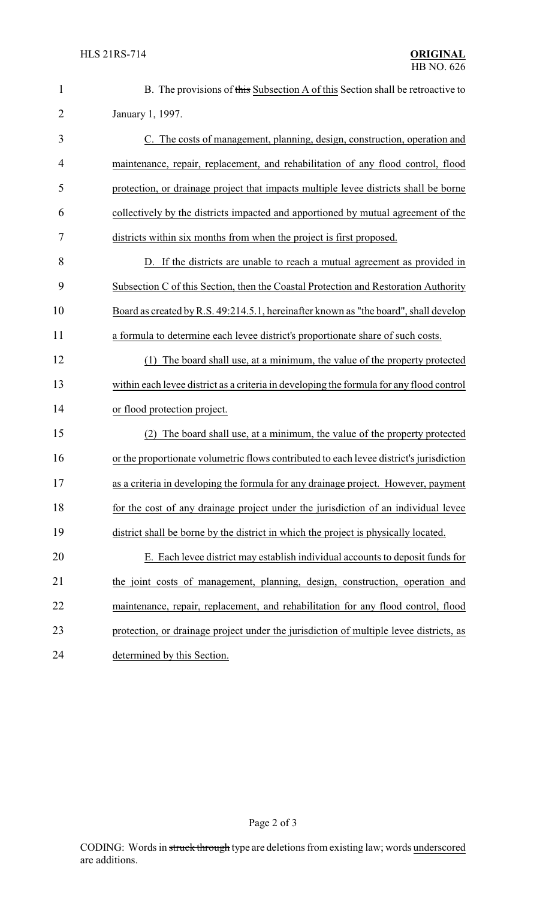| $\mathbf{1}$   | B. The provisions of this Subsection A of this Section shall be retroactive to           |
|----------------|------------------------------------------------------------------------------------------|
| $\overline{2}$ | January 1, 1997.                                                                         |
| 3              | C. The costs of management, planning, design, construction, operation and                |
| 4              | maintenance, repair, replacement, and rehabilitation of any flood control, flood         |
| 5              | protection, or drainage project that impacts multiple levee districts shall be borne     |
| 6              | collectively by the districts impacted and apportioned by mutual agreement of the        |
| 7              | districts within six months from when the project is first proposed.                     |
| 8              | D. If the districts are unable to reach a mutual agreement as provided in                |
| 9              | Subsection C of this Section, then the Coastal Protection and Restoration Authority      |
| 10             | Board as created by R.S. 49:214.5.1, hereinafter known as "the board", shall develop     |
| 11             | a formula to determine each levee district's proportionate share of such costs.          |
| 12             | (1) The board shall use, at a minimum, the value of the property protected               |
| 13             | within each levee district as a criteria in developing the formula for any flood control |
| 14             | or flood protection project.                                                             |
| 15             | The board shall use, at a minimum, the value of the property protected                   |
| 16             | or the proportionate volumetric flows contributed to each levee district's jurisdiction  |
| 17             | as a criteria in developing the formula for any drainage project. However, payment       |
| 18             | for the cost of any drainage project under the jurisdiction of an individual levee       |
| 19             | district shall be borne by the district in which the project is physically located.      |
| 20             | E. Each levee district may establish individual accounts to deposit funds for            |
| 21             | the joint costs of management, planning, design, construction, operation and             |
| 22             | maintenance, repair, replacement, and rehabilitation for any flood control, flood        |
| 23             | protection, or drainage project under the jurisdiction of multiple levee districts, as   |
| 24             | determined by this Section.                                                              |